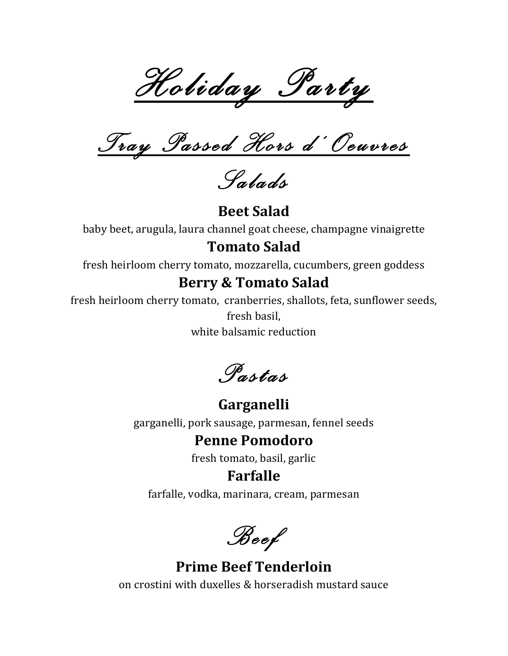*Holiday Party* 

*Tray Passed Hors d' Oeuvres* 

*Salads* 

**Beet Salad**

baby beet, arugula, laura channel goat cheese, champagne vinaigrette

## **Tomato Salad**

fresh heirloom cherry tomato, mozzarella, cucumbers, green goddess

# **Berry & Tomato Salad**

fresh heirloom cherry tomato, cranberries, shallots, feta, sunflower seeds, fresh basil, white balsamic reduction

*Pastas* 

## **Garganelli**

garganelli, pork sausage, parmesan, fennel seeds

## **Penne Pomodoro**

fresh tomato, basil, garlic

# **Farfalle**

farfalle, vodka, marinara, cream, parmesan

*Beef* 

**Prime Beef Tenderloin**

on crostini with duxelles & horseradish mustard sauce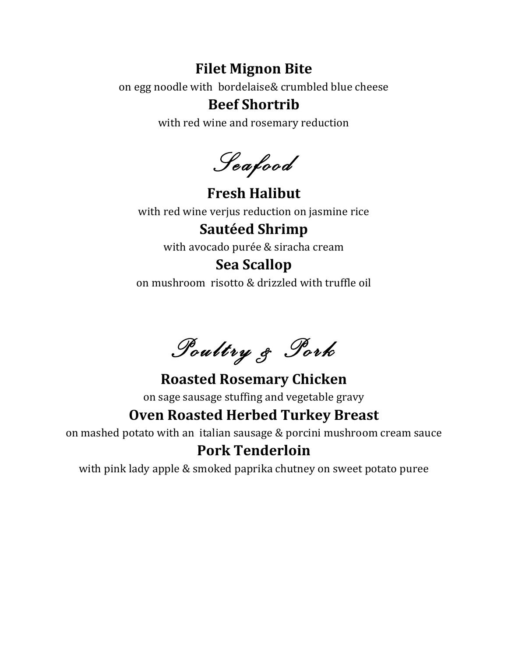## **Filet Mignon Bite**

on egg noodle with bordelaise& crumbled blue cheese

#### **Beef Shortrib**

with red wine and rosemary reduction

*Seafood* 

**Fresh Halibut** with red wine verjus reduction on jasmine rice **Sautéed Shrimp**

with avocado purée & siracha cream

# **Sea Scallop**

on mushroom risotto & drizzled with truffle oil

*Poultry & Pork* 

**Roasted Rosemary Chicken** on sage sausage stuffing and vegetable gravy

# **Oven Roasted Herbed Turkey Breast**

on mashed potato with an italian sausage & porcini mushroom cream sauce **Pork Tenderloin**

with pink lady apple  $&$  smoked paprika chutney on sweet potato puree